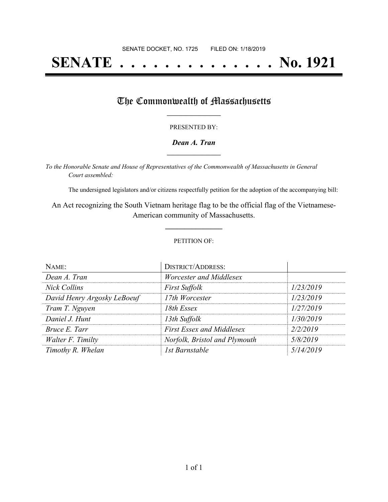# **SENATE . . . . . . . . . . . . . . No. 1921**

### The Commonwealth of Massachusetts

#### PRESENTED BY:

#### *Dean A. Tran* **\_\_\_\_\_\_\_\_\_\_\_\_\_\_\_\_\_**

*To the Honorable Senate and House of Representatives of the Commonwealth of Massachusetts in General Court assembled:*

The undersigned legislators and/or citizens respectfully petition for the adoption of the accompanying bill:

An Act recognizing the South Vietnam heritage flag to be the official flag of the Vietnamese-American community of Massachusetts.

**\_\_\_\_\_\_\_\_\_\_\_\_\_\_\_**

#### PETITION OF:

| NAME:                       | <b>DISTRICT/ADDRESS:</b>         |           |
|-----------------------------|----------------------------------|-----------|
| Dean A. Tran                | Worcester and Middlesex          |           |
| <b>Nick Collins</b>         | <b>First Suffolk</b>             | 1/23/2019 |
| David Henry Argosky LeBoeuf | 17th Worcester                   | 1/23/2019 |
| Tram T. Nguyen              | 18th Essex                       | 1/27/2019 |
| Daniel J. Hunt              | 13th Suffolk                     | 1/30/2019 |
| Bruce E. Tarr               | <b>First Essex and Middlesex</b> | 2/2/2019  |
| Walter F. Timilty           | Norfolk, Bristol and Plymouth    | 5/8/2019  |
| Timothy R. Whelan           | 1st Barnstable                   | 5/14/2019 |